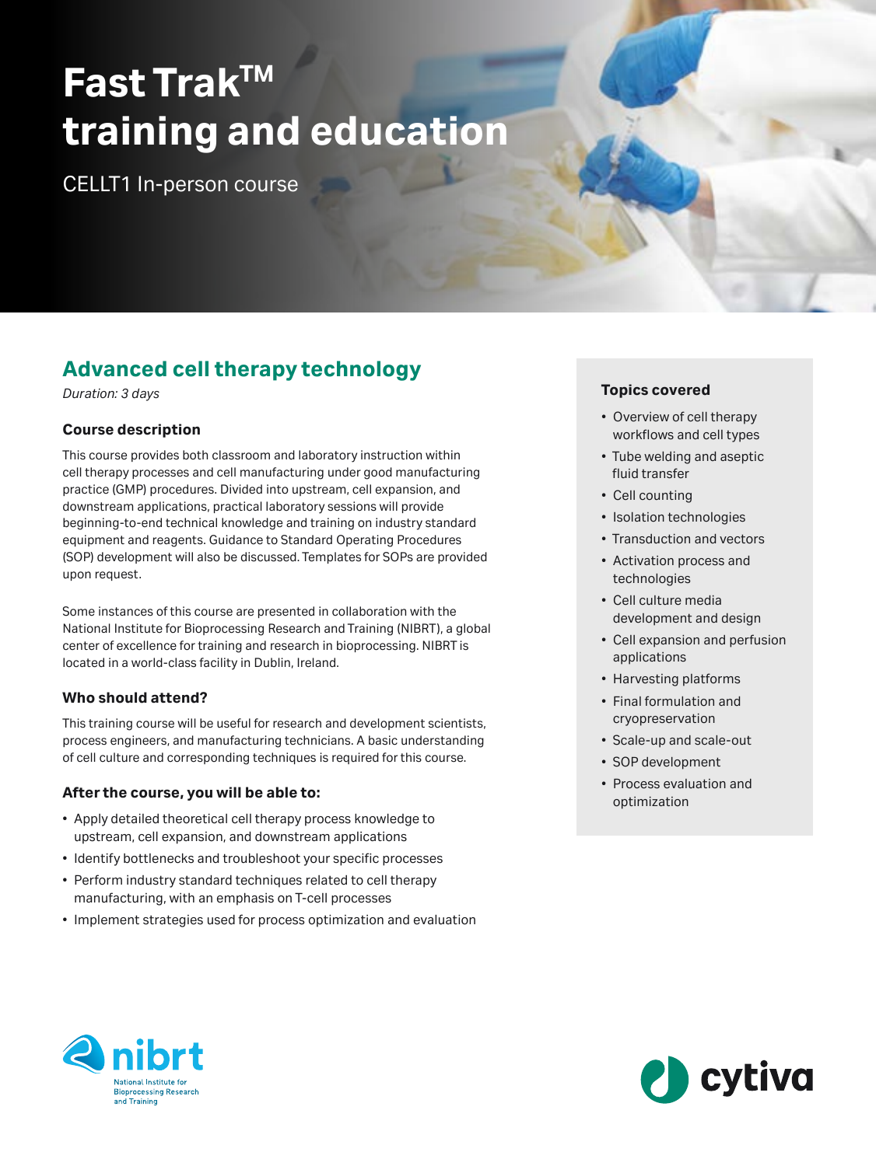# **Fast TrakTM training and education**

CELLT1 In-person course

## **Advanced cell therapy technology**

*Duration: 3 days*

#### **Course description**

This course provides both classroom and laboratory instruction within cell therapy processes and cell manufacturing under good manufacturing practice (GMP) procedures. Divided into upstream, cell expansion, and downstream applications, practical laboratory sessions will provide beginning-to-end technical knowledge and training on industry standard equipment and reagents. Guidance to Standard Operating Procedures (SOP) development will also be discussed. Templates for SOPs are provided upon request.

Some instances of this course are presented in collaboration with the National Institute for Bioprocessing Research and Training (NIBRT), a global center of excellence for training and research in bioprocessing. NIBRT is located in a world-class facility in Dublin, Ireland.

#### **Who should attend?**

This training course will be useful for research and development scientists, process engineers, and manufacturing technicians. A basic understanding of cell culture and corresponding techniques is required for this course.

#### **After the course, you will be able to:**

- Apply detailed theoretical cell therapy process knowledge to upstream, cell expansion, and downstream applications
- Identify bottlenecks and troubleshoot your specific processes
- Perform industry standard techniques related to cell therapy manufacturing, with an emphasis on T-cell processes
- Implement strategies used for process optimization and evaluation

#### **Topics covered**

- Overview of cell therapy workflows and cell types
- Tube welding and aseptic fluid transfer
- Cell counting
- Isolation technologies
- Transduction and vectors
- Activation process and technologies
- Cell culture media development and design
- Cell expansion and perfusion applications
- Harvesting platforms
- Final formulation and cryopreservation
- Scale-up and scale-out
- SOP development
- Process evaluation and optimization



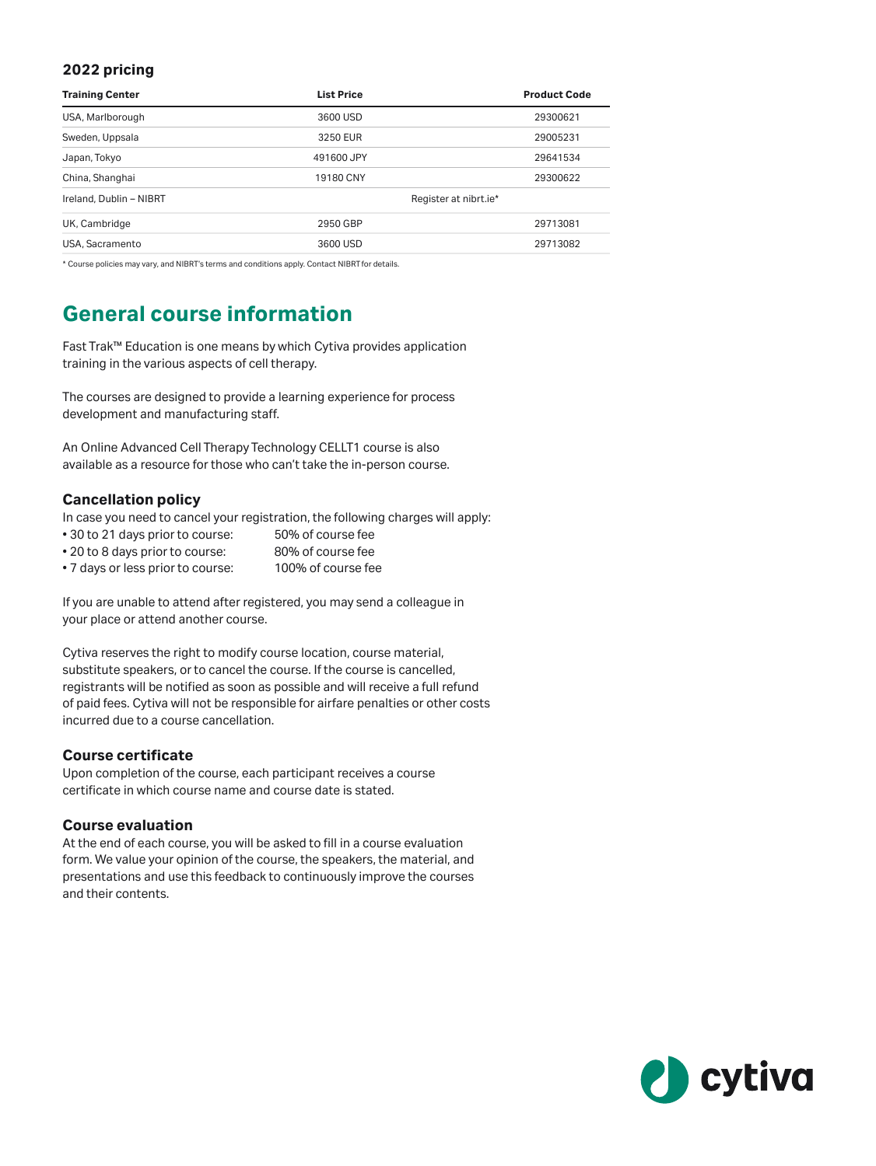#### **2022 pricing**

| <b>Training Center</b>  | <b>List Price</b>     | <b>Product Code</b> |
|-------------------------|-----------------------|---------------------|
| USA, Marlborough        | 3600 USD              | 29300621            |
| Sweden, Uppsala         | 3250 EUR              | 29005231            |
| Japan, Tokyo            | 491600 JPY            | 29641534            |
| China, Shanghai         | 19180 CNY             | 29300622            |
| Ireland, Dublin - NIBRT | Register at nibrt.ie* |                     |
| UK, Cambridge           | 2950 GBP              | 29713081            |
| USA, Sacramento         | 3600 USD              | 29713082            |

\* Course policies may vary, and NIBRT's terms and conditions apply. Contact NIBRT for details.

### **General course information**

Fast Trak™ Education is one means by which Cytiva provides application training in the various aspects of cell therapy.

The courses are designed to provide a learning experience for process development and manufacturing staff.

An Online Advanced Cell Therapy Technology CELLT1 course is also available as a resource for those who can't take the in-person course.

#### **Cancellation policy**

In case you need to cancel your registration, the following charges will apply:

- 30 to 21 days prior to course: 50% of course fee
- 20 to 8 days prior to course: 80% of course fee
- 7 days or less prior to course: 100% of course fee

If you are unable to attend after registered, you may send a colleague in your place or attend another course.

Cytiva reserves the right to modify course location, course material, substitute speakers, or to cancel the course. If the course is cancelled, registrants will be notified as soon as possible and will receive a full refund of paid fees. Cytiva will not be responsible for airfare penalties or other costs incurred due to a course cancellation.

#### **Course certificate**

Upon completion of the course, each participant receives a course certificate in which course name and course date is stated.

#### **Course evaluation**

At the end of each course, you will be asked to fill in a course evaluation form. We value your opinion of the course, the speakers, the material, and presentations and use this feedback to continuously improve the courses and their contents.